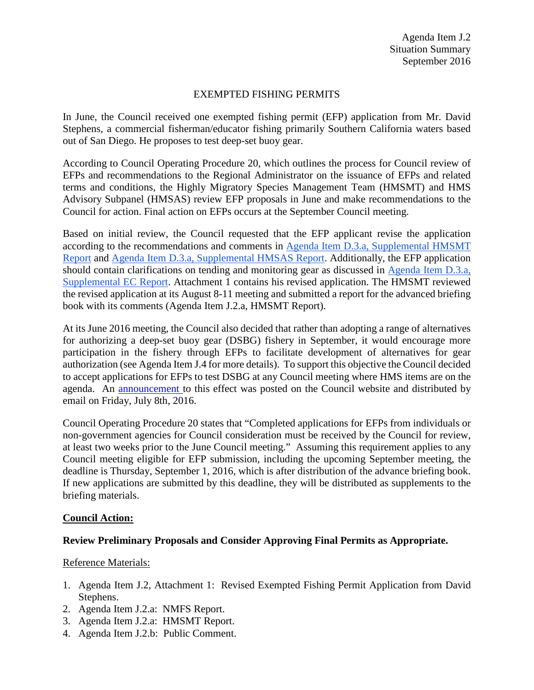## EXEMPTED FISHING PERMITS

In June, the Council received one exempted fishing permit (EFP) application from Mr. David Stephens, a commercial fisherman/educator fishing primarily Southern California waters based out of San Diego. He proposes to test deep-set buoy gear.

According to Council Operating Procedure 20, which outlines the process for Council review of EFPs and recommendations to the Regional Administrator on the issuance of EFPs and related terms and conditions, the Highly Migratory Species Management Team (HMSMT) and HMS Advisory Subpanel (HMSAS) review EFP proposals in June and make recommendations to the Council for action. Final action on EFPs occurs at the September Council meeting.

Based on initial review, the Council requested that the EFP applicant revise the application according to the recommendations and comments in [Agenda Item D.3.a, Supplemental HMSMT](http://www.pcouncil.org/wp-content/uploads/2016/06/D3a_Sup_HMSMT_Rpt_EFPs_JUN2016BB.pdf)  [Report](http://www.pcouncil.org/wp-content/uploads/2016/06/D3a_Sup_HMSMT_Rpt_EFPs_JUN2016BB.pdf) and [Agenda Item D.3.a, Supplemental HMSAS Report.](http://www.pcouncil.org/wp-content/uploads/2016/06/D3a_Sup_HMSAS_Rpt_EFPs_JUN2016BB.pdf) Additionally, the EFP application should contain clarifications on tending and monitoring gear as discussed in [Agenda Item D.3.a,](http://www.pcouncil.org/wp-content/uploads/2016/06/D3a_Sup_EC_Rpt_JUN2016BB.pdf)  [Supplemental EC Report.](http://www.pcouncil.org/wp-content/uploads/2016/06/D3a_Sup_EC_Rpt_JUN2016BB.pdf) Attachment 1 contains his revised application. The HMSMT reviewed the revised application at its August 8-11 meeting and submitted a report for the advanced briefing book with its comments (Agenda Item J.2.a, HMSMT Report).

At its June 2016 meeting, the Council also decided that rather than adopting a range of alternatives for authorizing a deep-set buoy gear (DSBG) fishery in September, it would encourage more participation in the fishery through EFPs to facilitate development of alternatives for gear authorization (see Agenda Item J.4 for more details). To support this objective the Council decided to accept applications for EFPs to test DSBG at any Council meeting where HMS items are on the agenda. An [announcement t](http://www.pcouncil.org/2016/07/43140/exempted-fishing-permit-applications-for-deep-set-buoy-gear-to-be-accepted-at-future-council-meetings/)o this effect was posted on the Council website and distributed by email on Friday, July 8th, 2016.

Council Operating Procedure 20 states that "Completed applications for EFPs from individuals or non-government agencies for Council consideration must be received by the Council for review, at least two weeks prior to the June Council meeting." Assuming this requirement applies to any Council meeting eligible for EFP submission, including the upcoming September meeting, the deadline is Thursday, September 1, 2016, which is after distribution of the advance briefing book. If new applications are submitted by this deadline, they will be distributed as supplements to the briefing materials.

### **Council Action:**

### **Review Preliminary Proposals and Consider Approving Final Permits as Appropriate.**

### Reference Materials:

- 1. Agenda Item J.2, Attachment 1: Revised Exempted Fishing Permit Application from David Stephens.
- 2. Agenda Item J.2.a: NMFS Report.
- 3. Agenda Item J.2.a: HMSMT Report.
- 4. Agenda Item J.2.b: Public Comment.